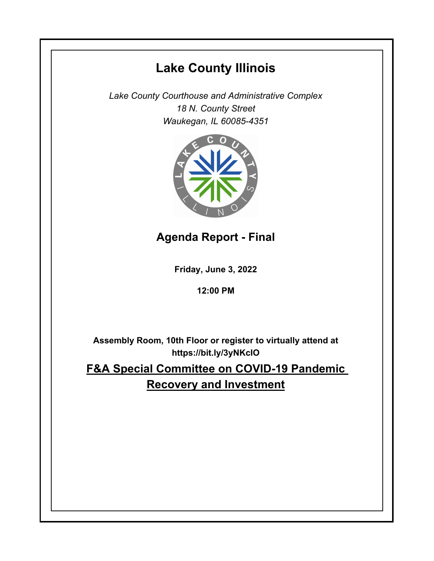# **Lake County Illinois**

*Lake County Courthouse and Administrative Complex 18 N. County Street Waukegan, IL 60085-4351*



## **Agenda Report - Final**

**Friday, June 3, 2022**

**12:00 PM**

**Assembly Room, 10th Floor or register to virtually attend at https://bit.ly/3yNKcIO**

**F&A Special Committee on COVID-19 Pandemic Recovery and Investment**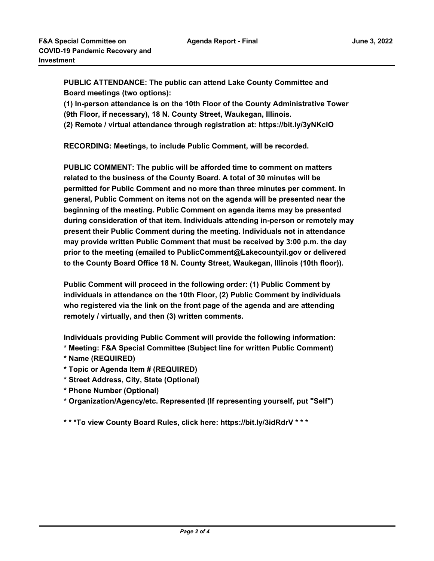**PUBLIC ATTENDANCE: The public can attend Lake County Committee and Board meetings (two options):** 

**(1) In-person attendance is on the 10th Floor of the County Administrative Tower** 

**(9th Floor, if necessary), 18 N. County Street, Waukegan, Illinois.**

**(2) Remote / virtual attendance through registration at: https://bit.ly/3yNKcIO**

**RECORDING: Meetings, to include Public Comment, will be recorded.**

**PUBLIC COMMENT: The public will be afforded time to comment on matters related to the business of the County Board. A total of 30 minutes will be permitted for Public Comment and no more than three minutes per comment. In general, Public Comment on items not on the agenda will be presented near the beginning of the meeting. Public Comment on agenda items may be presented during consideration of that item. Individuals attending in-person or remotely may present their Public Comment during the meeting. Individuals not in attendance may provide written Public Comment that must be received by 3:00 p.m. the day prior to the meeting (emailed to PublicComment@Lakecountyil.gov or delivered to the County Board Office 18 N. County Street, Waukegan, Illinois (10th floor)).** 

**Public Comment will proceed in the following order: (1) Public Comment by individuals in attendance on the 10th Floor, (2) Public Comment by individuals who registered via the link on the front page of the agenda and are attending remotely / virtually, and then (3) written comments.** 

**Individuals providing Public Comment will provide the following information:**

- **\* Meeting: F&A Special Committee (Subject line for written Public Comment)**
- **\* Name (REQUIRED)**
- **\* Topic or Agenda Item # (REQUIRED)**
- **\* Street Address, City, State (Optional)**
- **\* Phone Number (Optional)**
- **\* Organization/Agency/etc. Represented (If representing yourself, put "Self")**

**\* \* \*To view County Board Rules, click here: https://bit.ly/3idRdrV \* \* \***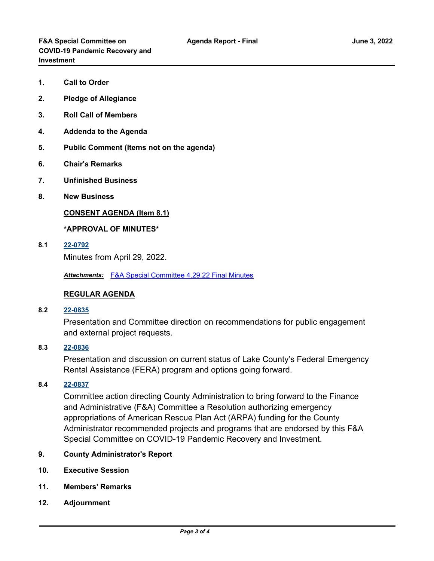- **1. Call to Order**
- **2. Pledge of Allegiance**
- **3. Roll Call of Members**
- **4. Addenda to the Agenda**
- **5. Public Comment (Items not on the agenda)**
- **6. Chair's Remarks**
- **7. Unfinished Business**
- **8. New Business**

#### **CONSENT AGENDA (Item 8.1)**

#### **\*APPROVAL OF MINUTES\***

**8.1 [22-0792](http://lakecounty.legistar.com/gateway.aspx?m=l&id=/matter.aspx?key=26578)**

Minutes from April 29, 2022.

*Attachments:* [F&A Special Committee 4.29.22 Final Minutes](http://lakecounty.legistar.com/gateway.aspx?M=F&ID=d79128e4-27db-408b-b788-c6cc3e77bea2.pdf)

#### **REGULAR AGENDA**

**8.2 [22-0835](http://lakecounty.legistar.com/gateway.aspx?m=l&id=/matter.aspx?key=26620)**

Presentation and Committee direction on recommendations for public engagement and external project requests.

### **8.3 [22-0836](http://lakecounty.legistar.com/gateway.aspx?m=l&id=/matter.aspx?key=26621)**

Presentation and discussion on current status of Lake County's Federal Emergency Rental Assistance (FERA) program and options going forward.

#### **8.4 [22-0837](http://lakecounty.legistar.com/gateway.aspx?m=l&id=/matter.aspx?key=26622)**

Committee action directing County Administration to bring forward to the Finance and Administrative (F&A) Committee a Resolution authorizing emergency appropriations of American Rescue Plan Act (ARPA) funding for the County Administrator recommended projects and programs that are endorsed by this F&A Special Committee on COVID-19 Pandemic Recovery and Investment.

- **9. County Administrator's Report**
- **10. Executive Session**
- **11. Members' Remarks**
- **12. Adjournment**